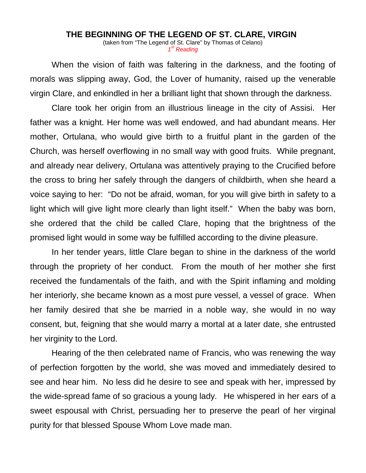## **THE BEGINNING OF THE LEGEND OF ST. CLARE, VIRGIN**

(taken from "The Legend of St. Clare" by Thomas of Celano) *1st Reading*

When the vision of faith was faltering in the darkness, and the footing of morals was slipping away, God, the Lover of humanity, raised up the venerable virgin Clare, and enkindled in her a brilliant light that shown through the darkness.

Clare took her origin from an illustrious lineage in the city of Assisi. Her father was a knight. Her home was well endowed, and had abundant means. Her mother, Ortulana, who would give birth to a fruitful plant in the garden of the Church, was herself overflowing in no small way with good fruits. While pregnant, and already near delivery, Ortulana was attentively praying to the Crucified before the cross to bring her safely through the dangers of childbirth, when she heard a voice saying to her: "Do not be afraid, woman, for you will give birth in safety to a light which will give light more clearly than light itself." When the baby was born, she ordered that the child be called Clare, hoping that the brightness of the promised light would in some way be fulfilled according to the divine pleasure.

In her tender years, little Clare began to shine in the darkness of the world through the propriety of her conduct. From the mouth of her mother she first received the fundamentals of the faith, and with the Spirit inflaming and molding her interiorly, she became known as a most pure vessel, a vessel of grace. When her family desired that she be married in a noble way, she would in no way consent, but, feigning that she would marry a mortal at a later date, she entrusted her virginity to the Lord.

Hearing of the then celebrated name of Francis, who was renewing the way of perfection forgotten by the world, she was moved and immediately desired to see and hear him. No less did he desire to see and speak with her, impressed by the wide-spread fame of so gracious a young lady. He whispered in her ears of a sweet espousal with Christ, persuading her to preserve the pearl of her virginal purity for that blessed Spouse Whom Love made man.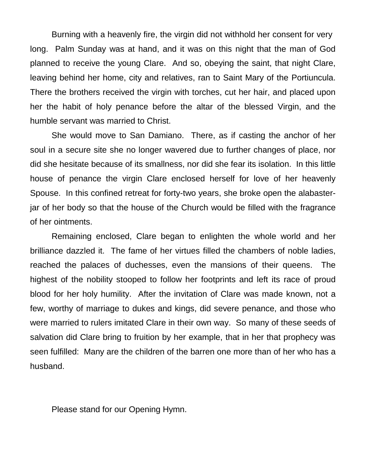Burning with a heavenly fire, the virgin did not withhold her consent for very long. Palm Sunday was at hand, and it was on this night that the man of God planned to receive the young Clare. And so, obeying the saint, that night Clare, leaving behind her home, city and relatives, ran to Saint Mary of the Portiuncula. There the brothers received the virgin with torches, cut her hair, and placed upon her the habit of holy penance before the altar of the blessed Virgin, and the humble servant was married to Christ.

She would move to San Damiano. There, as if casting the anchor of her soul in a secure site she no longer wavered due to further changes of place, nor did she hesitate because of its smallness, nor did she fear its isolation. In this little house of penance the virgin Clare enclosed herself for love of her heavenly Spouse. In this confined retreat for forty-two years, she broke open the alabasterjar of her body so that the house of the Church would be filled with the fragrance of her ointments.

Remaining enclosed, Clare began to enlighten the whole world and her brilliance dazzled it. The fame of her virtues filled the chambers of noble ladies, reached the palaces of duchesses, even the mansions of their queens. The highest of the nobility stooped to follow her footprints and left its race of proud blood for her holy humility. After the invitation of Clare was made known, not a few, worthy of marriage to dukes and kings, did severe penance, and those who were married to rulers imitated Clare in their own way. So many of these seeds of salvation did Clare bring to fruition by her example, that in her that prophecy was seen fulfilled: Many are the children of the barren one more than of her who has a husband.

Please stand for our Opening Hymn.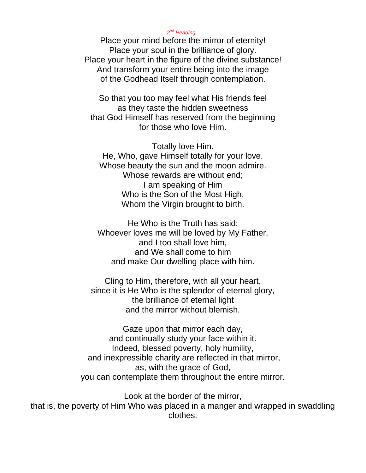## *2nd Reading*

Place your mind before the mirror of eternity! Place your soul in the brilliance of glory. Place your heart in the figure of the divine substance! And transform your entire being into the image of the Godhead Itself through contemplation.

So that you too may feel what His friends feel as they taste the hidden sweetness that God Himself has reserved from the beginning for those who love Him.

Totally love Him. He, Who, gave Himself totally for your love. Whose beauty the sun and the moon admire. Whose rewards are without end; I am speaking of Him Who is the Son of the Most High, Whom the Virgin brought to birth.

He Who is the Truth has said: Whoever loves me will be loved by My Father, and I too shall love him, and We shall come to him and make Our dwelling place with him.

Cling to Him, therefore, with all your heart, since it is He Who is the splendor of eternal glory, the brilliance of eternal light and the mirror without blemish.

Gaze upon that mirror each day, and continually study your face within it. Indeed, blessed poverty, holy humility, and inexpressible charity are reflected in that mirror, as, with the grace of God, you can contemplate them throughout the entire mirror.

Look at the border of the mirror,

that is, the poverty of Him Who was placed in a manger and wrapped in swaddling clothes.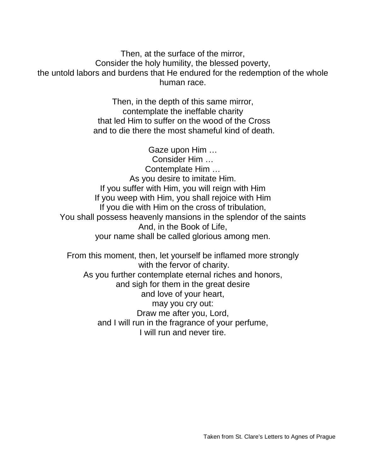Then, at the surface of the mirror, Consider the holy humility, the blessed poverty, the untold labors and burdens that He endured for the redemption of the whole human race.

> Then, in the depth of this same mirror, contemplate the ineffable charity that led Him to suffer on the wood of the Cross and to die there the most shameful kind of death.

Gaze upon Him … Consider Him … Contemplate Him … As you desire to imitate Him. If you suffer with Him, you will reign with Him If you weep with Him, you shall rejoice with Him If you die with Him on the cross of tribulation, You shall possess heavenly mansions in the splendor of the saints And, in the Book of Life, your name shall be called glorious among men.

From this moment, then, let yourself be inflamed more strongly with the fervor of charity. As you further contemplate eternal riches and honors, and sigh for them in the great desire and love of your heart, may you cry out: Draw me after you, Lord, and I will run in the fragrance of your perfume, I will run and never tire.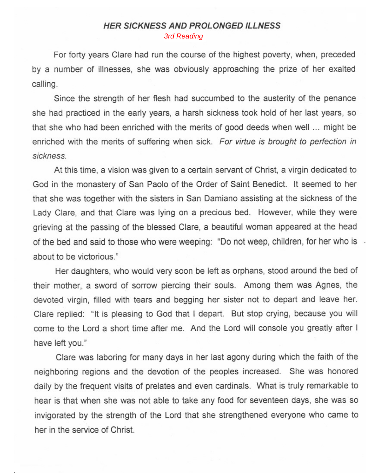## **HER SICKNESS AND PROLONGED ILLNESS** 3rd Reading

For forty years Clare had run the course of the highest poverty, when, preceded by a number of illnesses, she was obviously approaching the prize of her exalted calling.

Since the strength of her flesh had succumbed to the austerity of the penance she had practiced in the early years, a harsh sickness took hold of her last years, so that she who had been enriched with the merits of good deeds when well ... might be enriched with the merits of suffering when sick. For virtue is brought to perfection in sickness.

At this time, a vision was given to a certain servant of Christ, a virgin dedicated to God in the monastery of San Paolo of the Order of Saint Benedict. It seemed to her that she was together with the sisters in San Damiano assisting at the sickness of the Lady Clare, and that Clare was lying on a precious bed. However, while they were grieving at the passing of the blessed Clare, a beautiful woman appeared at the head of the bed and said to those who were weeping: "Do not weep, children, for her who is about to be victorious."

Her daughters, who would very soon be left as orphans, stood around the bed of their mother, a sword of sorrow piercing their souls. Among them was Agnes, the devoted virgin, filled with tears and begging her sister not to depart and leave her. Clare replied: "It is pleasing to God that I depart. But stop crying, because you will come to the Lord a short time after me. And the Lord will console you greatly after I have left you."

Clare was laboring for many days in her last agony during which the faith of the neighboring regions and the devotion of the peoples increased. She was honored daily by the frequent visits of prelates and even cardinals. What is truly remarkable to hear is that when she was not able to take any food for seventeen days, she was so invigorated by the strength of the Lord that she strengthened everyone who came to her in the service of Christ.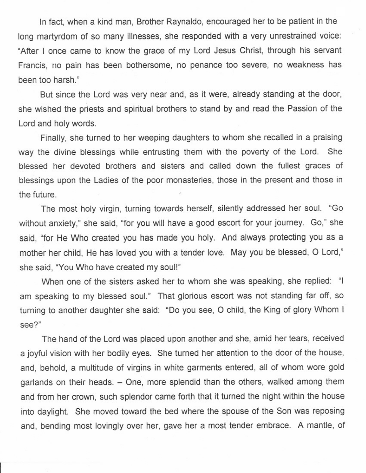In fact, when a kind man, Brother Raynaldo, encouraged her to be patient in the long martyrdom of so many illnesses, she responded with a very unrestrained voice: "After I once came to know the grace of my Lord Jesus Christ, through his servant Francis, no pain has been bothersome, no penance too severe, no weakness has been too harsh."

But since the Lord was very near and, as it were, already standing at the door, she wished the priests and spiritual brothers to stand by and read the Passion of the Lord and holy words.

Finally, she turned to her weeping daughters to whom she recalled in a praising way the divine blessings while entrusting them with the poverty of the Lord. She blessed her devoted brothers and sisters and called down the fullest graces of blessings upon the Ladies of the poor monasteries, those in the present and those in the future.

The most holy virgin, turning towards herself, silently addressed her soul. "Go without anxiety." she said, "for you will have a good escort for your journey. Go," she said, "for He Who created you has made you holy. And always protecting you as a mother her child, He has loved you with a tender love. May you be blessed, O Lord," she said, "You Who have created my soul!"

When one of the sisters asked her to whom she was speaking, she replied: "I am speaking to my blessed soul." That glorious escort was not standing far off, so turning to another daughter she said: "Do you see, O child, the King of glory Whom I see?"

The hand of the Lord was placed upon another and she, amid her tears, received a joyful vision with her bodily eyes. She turned her attention to the door of the house, and, behold, a multitude of virgins in white garments entered, all of whom wore gold garlands on their heads. - One, more splendid than the others, walked among them and from her crown, such splendor came forth that it turned the night within the house into daylight. She moved toward the bed where the spouse of the Son was reposing and, bending most lovingly over her, gave her a most tender embrace. A mantle, of